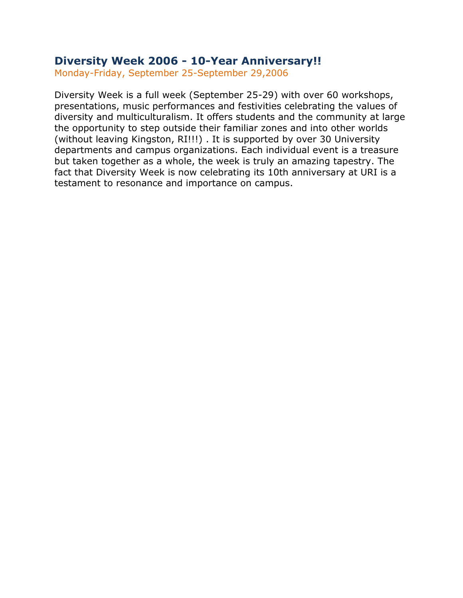### **Diversity Week 2006 - 10-Year Anniversary!!**

Monday-Friday, September 25-September 29,2006

Diversity Week is a full week (September 25-29) with over 60 workshops, presentations, music performances and festivities celebrating the values of diversity and multiculturalism. It offers students and the community at large the opportunity to step outside their familiar zones and into other worlds (without leaving Kingston, RI!!!) . It is supported by over 30 University departments and campus organizations. Each individual event is a treasure but taken together as a whole, the week is truly an amazing tapestry. The fact that Diversity Week is now celebrating its 10th anniversary at URI is a testament to resonance and importance on campus.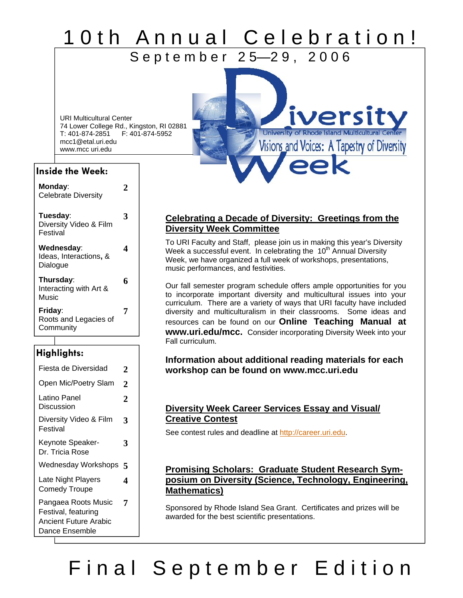## <u>10th Annual Celebration!</u> September 25-29, 2006

URI Multicultural Center 74 Lower College Rd., Kingston, RI 02881 T: 401-874-2851 F: 401-874-5952 mcc1@etal.uri.edu www.mcc uri.edu

### **Inside the Week:**

| Monday:<br><b>Celebrate Diversity</b>            |   |
|--------------------------------------------------|---|
| Tuesday:<br>Diversity Video & Film<br>Festival   | 3 |
| Wednesday:<br>Ideas, Interactions, &<br>Dialogue | 4 |
| Thursday:<br>Interacting with Art &<br>Music     | 6 |
| Friday:<br>Roots and Legacies of<br>Community    | 7 |

### **Highlights:**

| Fiesta de Diversidad                                                                  | 2 |
|---------------------------------------------------------------------------------------|---|
| Open Mic/Poetry Slam                                                                  | 2 |
| Latino Panel<br>Discussion                                                            | 2 |
| Diversity Video & Film<br>Festival                                                    | 3 |
| Keynote Speaker-<br>Dr. Tricia Rose                                                   | 3 |
| Wednesday Workshops                                                                   | 5 |
| Late Night Players<br><b>Comedy Troupe</b>                                            | 4 |
| Pangaea Roots Music<br>Festival, featuring<br>Ancient Future Arabic<br>Dance Ensemble | 7 |

### **Celebrating a Decade of Diversity: Greetings from the Diversity Week Committee**

iversit

University of Rhode Island Multicultural Center Visions and Voices: A Tapestry of Diversity

To URI Faculty and Staff, please join us in making this year's Diversity Week a successful event. In celebrating the  $10<sup>th</sup>$  Annual Diversity Week, we have organized a full week of workshops, presentations, music performances, and festivities.

Our fall semester program schedule offers ample opportunities for you to incorporate important diversity and multicultural issues into your curriculum. There are a variety of ways that URI faculty have included diversity and multiculturalism in their classrooms. Some ideas and resources can be found on our **Online Teaching Manual at www.uri.edu/mcc.** Consider incorporating Diversity Week into your Fall curriculum.

#### **Information about additional reading materials for each workshop can be found on www.mcc.uri.edu**

### **Diversity Week Career Services Essay and Visual/ Creative Contest**

See contest rules and deadline at http://career.uri.edu.

### **Promising Scholars: Graduate Student Research Symposium on Diversity (Science, Technology, Engineering, Mathematics)**

Sponsored by Rhode Island Sea Grant. Certificates and prizes will be awarded for the best scientific presentations.

# Final September Edition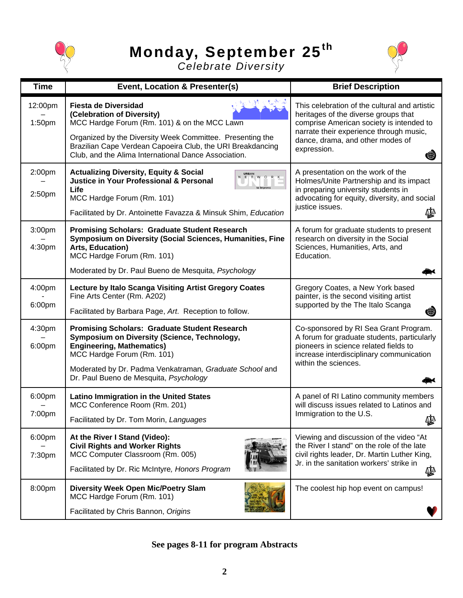

# **Monday, September 25th**



*Celebrate Diversity* 

| <b>Time</b>       | Event, Location & Presenter(s)                                                                                                                                                                                                                                                               | <b>Brief Description</b>                                                                                                                                                                                                             |
|-------------------|----------------------------------------------------------------------------------------------------------------------------------------------------------------------------------------------------------------------------------------------------------------------------------------------|--------------------------------------------------------------------------------------------------------------------------------------------------------------------------------------------------------------------------------------|
| 12:00pm<br>1:50pm | <b>Fiesta de Diversidad</b><br>(Celebration of Diversity)<br>MCC Hardge Forum (Rm. 101) & on the MCC Lawn<br>Organized by the Diversity Week Committee. Presenting the<br>Brazilian Cape Verdean Capoeira Club, the URI Breakdancing<br>Club, and the Alima International Dance Association. | This celebration of the cultural and artistic<br>heritages of the diverse groups that<br>comprise American society is intended to<br>narrate their experience through music,<br>dance, drama, and other modes of<br>expression.<br>● |
| 2:00pm<br>2:50pm  | <b>Actualizing Diversity, Equity &amp; Social</b><br>URBAN<br>N E T W O R<br><b>Justice in Your Professional &amp; Personal</b><br>Life<br>MCC Hardge Forum (Rm. 101)<br>Facilitated by Dr. Antoinette Favazza & Minsuk Shim, Education                                                      | A presentation on the work of the<br>Holmes/Unite Partnership and its impact<br>in preparing university students in<br>advocating for equity, diversity, and social<br>justice issues.<br>∯                                          |
| 3:00pm<br>4:30pm  | <b>Promising Scholars: Graduate Student Research</b><br>Symposium on Diversity (Social Sciences, Humanities, Fine<br>Arts, Education)<br>MCC Hardge Forum (Rm. 101)<br>Moderated by Dr. Paul Bueno de Mesquita, Psychology                                                                   | A forum for graduate students to present<br>research on diversity in the Social<br>Sciences, Humanities, Arts, and<br>Education.                                                                                                     |
| 4:00pm<br>6:00pm  | Lecture by Italo Scanga Visiting Artist Gregory Coates<br>Fine Arts Center (Rm. A202)<br>Facilitated by Barbara Page, Art. Reception to follow.                                                                                                                                              | Gregory Coates, a New York based<br>painter, is the second visiting artist<br>supported by the The Italo Scanga<br>❀                                                                                                                 |
| 4:30pm<br>6:00pm  | <b>Promising Scholars: Graduate Student Research</b><br>Symposium on Diversity (Science, Technology,<br><b>Engineering, Mathematics)</b><br>MCC Hardge Forum (Rm. 101)<br>Moderated by Dr. Padma Venkatraman, Graduate School and<br>Dr. Paul Bueno de Mesquita, Psychology                  | Co-sponsored by RI Sea Grant Program.<br>A forum for graduate students, particularly<br>pioneers in science related fields to<br>increase interdisciplinary communication<br>within the sciences.                                    |
| 6:00pm<br>7:00pm  | <b>Latino Immigration in the United States</b><br>MCC Conference Room (Rm. 201)<br>Facilitated by Dr. Tom Morin, Languages                                                                                                                                                                   | A panel of RI Latino community members<br>will discuss issues related to Latinos and<br>Immigration to the U.S.<br>藝                                                                                                                 |
| 6:00pm<br>7:30pm  | At the River I Stand (Video):<br><b>Civil Rights and Worker Rights</b><br>MCC Computer Classroom (Rm. 005)<br>Facilitated by Dr. Ric McIntyre, Honors Program                                                                                                                                | Viewing and discussion of the video "At<br>the River I stand" on the role of the late<br>civil rights leader, Dr. Martin Luther King,<br>Jr. in the sanitation workers' strike in<br>∯                                               |
| 8:00pm            | <b>Diversity Week Open Mic/Poetry Slam</b><br>MCC Hardge Forum (Rm. 101)<br>Facilitated by Chris Bannon, Origins                                                                                                                                                                             | The coolest hip hop event on campus!                                                                                                                                                                                                 |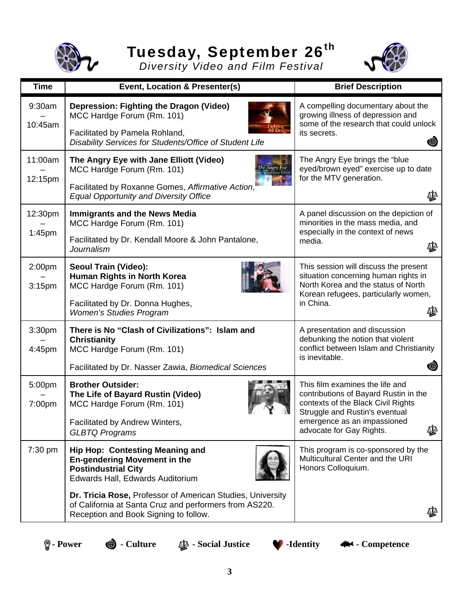

# **Tuesday, September 26th**

*Diversity Video and Film Festival* 



| <b>Time</b>        | Event, Location & Presenter(s)                                                                                                                                                                                                                                                                                   | <b>Brief Description</b>                                                                                                                                                                                          |
|--------------------|------------------------------------------------------------------------------------------------------------------------------------------------------------------------------------------------------------------------------------------------------------------------------------------------------------------|-------------------------------------------------------------------------------------------------------------------------------------------------------------------------------------------------------------------|
| 9:30am<br>10:45am  | Depression: Fighting the Dragon (Video)<br>MCC Hardge Forum (Rm. 101)<br>Facilitated by Pamela Rohland,<br>Disability Services for Students/Office of Student Life                                                                                                                                               | A compelling documentary about the<br>growing illness of depression and<br>some of the research that could unlock<br>its secrets.<br>G                                                                            |
| 11:00am<br>12:15pm | The Angry Eye with Jane Elliott (Video)<br>MCC Hardge Forum (Rm. 101)<br>Facilitated by Roxanne Gomes, Affirmative Action,<br><b>Equal Opportunity and Diversity Office</b>                                                                                                                                      | The Angry Eye brings the "blue<br>eyed/brown eyed" exercise up to date<br>for the MTV generation.<br>₫₫                                                                                                           |
| 12:30pm<br>1:45pm  | <b>Immigrants and the News Media</b><br>MCC Hardge Forum (Rm. 101)<br>Facilitated by Dr. Kendall Moore & John Pantalone,<br>Journalism                                                                                                                                                                           | A panel discussion on the depiction of<br>minorities in the mass media, and<br>especially in the context of news<br>media.<br>₫₫                                                                                  |
| 2:00pm<br>3:15pm   | Seoul Train (Video):<br>Human Rights in North Korea<br>MCC Hardge Forum (Rm. 101)<br>Facilitated by Dr. Donna Hughes,<br><b>Women's Studies Program</b>                                                                                                                                                          | This session will discuss the present<br>situation concerning human rights in<br>North Korea and the status of North<br>Korean refugees, particularly women,<br>in China.<br>∆∐∆                                  |
| 3:30pm<br>4:45pm   | There is No "Clash of Civilizations": Islam and<br><b>Christianity</b><br>MCC Hardge Forum (Rm. 101)<br>Facilitated by Dr. Nasser Zawia, Biomedical Sciences                                                                                                                                                     | A presentation and discussion<br>debunking the notion that violent<br>conflict between Islam and Christianity<br>is inevitable.                                                                                   |
| 5:00pm<br>7:00pm   | <b>Brother Outsider:</b><br>The Life of Bayard Rustin (Video)<br>MCC Hardge Forum (Rm. 101)<br>Facilitated by Andrew Winters,<br><b>GLBTQ Programs</b>                                                                                                                                                           | This film examines the life and<br>contributions of Bayard Rustin in the<br>contexts of the Black Civil Rights<br>Struggle and Rustin's eventual<br>emergence as an impassioned<br>₫₫<br>advocate for Gay Rights. |
| 7:30 pm            | <b>Hip Hop: Contesting Meaning and</b><br><b>En-gendering Movement in the</b><br><b>Postindustrial City</b><br>Edwards Hall, Edwards Auditorium<br>Dr. Tricia Rose, Professor of American Studies, University<br>of California at Santa Cruz and performers from AS220.<br>Reception and Book Signing to follow. | This program is co-sponsored by the<br>Multicultural Center and the URI<br>Honors Colloquium.                                                                                                                     |

 **Power**  $\bigcirc$  **- Culture**  $\bigcirc$  **- Social Justice**  $\bigcirc$  **-Identity**  $\bigcirc$  **- Competence**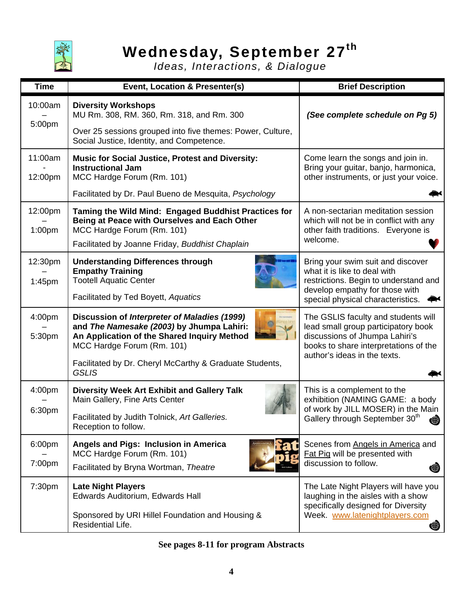

## **Wednesday, September 27th**

*Ideas, Interactions, & Dialogue*

| <b>Time</b>        | Event, Location & Presenter(s)                                                                                                                                                                                                                    | <b>Brief Description</b>                                                                                                                                                              |
|--------------------|---------------------------------------------------------------------------------------------------------------------------------------------------------------------------------------------------------------------------------------------------|---------------------------------------------------------------------------------------------------------------------------------------------------------------------------------------|
| 10:00am<br>5:00pm  | <b>Diversity Workshops</b><br>MU Rm. 308, RM. 360, Rm. 318, and Rm. 300<br>Over 25 sessions grouped into five themes: Power, Culture,<br>Social Justice, Identity, and Competence.                                                                | (See complete schedule on Pg 5)                                                                                                                                                       |
| 11:00am<br>12:00pm | <b>Music for Social Justice, Protest and Diversity:</b><br><b>Instructional Jam</b><br>MCC Hardge Forum (Rm. 101)<br>Facilitated by Dr. Paul Bueno de Mesquita, Psychology                                                                        | Come learn the songs and join in.<br>Bring your guitar, banjo, harmonica,<br>other instruments, or just your voice.                                                                   |
| 12:00pm<br>1:00pm  | Taming the Wild Mind: Engaged Buddhist Practices for<br>Being at Peace with Ourselves and Each Other<br>MCC Hardge Forum (Rm. 101)<br>Facilitated by Joanne Friday, Buddhist Chaplain                                                             | A non-sectarian meditation session<br>which will not be in conflict with any<br>other faith traditions. Everyone is<br>welcome.                                                       |
| 12:30pm<br>1:45pm  | <b>Understanding Differences through</b><br><b>Empathy Training</b><br><b>Tootell Aquatic Center</b><br>Facilitated by Ted Boyett, Aquatics                                                                                                       | Bring your swim suit and discover<br>what it is like to deal with<br>restrictions. Begin to understand and<br>develop empathy for those with<br>special physical characteristics.     |
| 4:00pm<br>5:30pm   | Discussion of Interpreter of Maladies (1999)<br>and The Namesake (2003) by Jhumpa Lahiri:<br>An Application of the Shared Inquiry Method<br>MCC Hardge Forum (Rm. 101)<br>Facilitated by Dr. Cheryl McCarthy & Graduate Students,<br><b>GSLIS</b> | The GSLIS faculty and students will<br>lead small group participatory book<br>discussions of Jhumpa Lahiri's<br>books to share interpretations of the<br>author's ideas in the texts. |
| 4:00pm<br>6:30pm   | <b>Diversity Week Art Exhibit and Gallery Talk</b><br>Main Gallery, Fine Arts Center<br>Facilitated by Judith Tolnick, Art Galleries.<br>Reception to follow.                                                                                     | This is a complement to the<br>exhibition (NAMING GAME: a body<br>of work by JILL MOSER) in the Main<br>Gallery through September 30 <sup>th</sup><br>₩                               |
| 6:00pm<br>7:00pm   | Angels and Pigs: Inclusion in America<br>MCC Hardge Forum (Rm. 101)<br>Facilitated by Bryna Wortman, Theatre                                                                                                                                      | Scenes from Angels in America and<br>Fat Pig will be presented with<br>discussion to follow.<br>ŧ                                                                                     |
| 7:30pm             | <b>Late Night Players</b><br>Edwards Auditorium, Edwards Hall<br>Sponsored by URI Hillel Foundation and Housing &<br>Residential Life.                                                                                                            | The Late Night Players will have you<br>laughing in the aisles with a show<br>specifically designed for Diversity<br>Week www.latenightplayers.com<br>●                               |

### **See pages 8-11 for program Abstracts**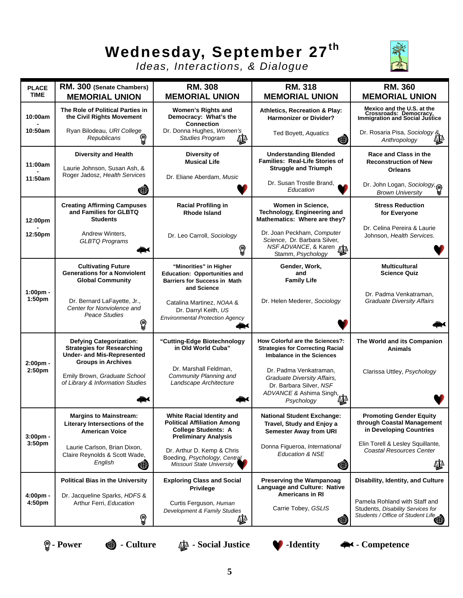# **Wednesday, September 27th**



*Ideas, Interactions, & Dialogue*

| <b>PLACE</b><br><b>TIME</b>    | RM. 300 (Senate Chambers)<br><b>MEMORIAL UNION</b>                                                       | <b>RM. 308</b><br><b>MEMORIAL UNION</b>                                                                                             | <b>RM. 318</b><br><b>MEMORIAL UNION</b>                                                                                   | <b>RM. 360</b><br><b>MEMORIAL UNION</b>                                                                                           |
|--------------------------------|----------------------------------------------------------------------------------------------------------|-------------------------------------------------------------------------------------------------------------------------------------|---------------------------------------------------------------------------------------------------------------------------|-----------------------------------------------------------------------------------------------------------------------------------|
| 10:00am                        | The Role of Political Parties in<br>the Civil Rights Movement                                            | Women's Rights and<br>Democracy: What's the<br><b>Connection</b>                                                                    | Athletics, Recreation & Play:<br><b>Harmonizer or Divider?</b>                                                            | Mexico and the U.S. at the<br>Crossroads: Democracy,<br>Immigration and Social Justice                                            |
| 10:50am                        | Ryan Bilodeau, URI College<br>Republicans<br>♔                                                           | Dr. Donna Hughes, Women's<br><b>Studies Program</b><br>∯                                                                            | Ted Boyett, Aquatics<br>G                                                                                                 | Dr. Rosaria Pisa, Sociology &<br><br>Anthropology                                                                                 |
| 11:00am<br>11:50am             | Diversity and Health<br>Laurie Johnson, Susan Ash, &<br>Roger Jadosz, Health Services                    | Diversity of<br><b>Musical Life</b><br>Dr. Eliane Aberdam, Music                                                                    | <b>Understanding Blended</b><br><b>Families: Real-Life Stories of</b><br><b>Struggle and Triumph</b>                      | Race and Class in the<br><b>Reconstruction of New</b><br><b>Orleans</b>                                                           |
|                                | G                                                                                                        |                                                                                                                                     | Dr. Susan Trostle Brand.<br>Education                                                                                     | Dr. John Logan, Sociology,<br><b>Brown University</b>                                                                             |
| 12:00pm                        | <b>Creating Affirming Campuses</b><br>and Families for GLBTQ<br><b>Students</b>                          | <b>Racial Profiling in</b><br><b>Rhode Island</b>                                                                                   | Women in Science,<br>Technology, Engineering and<br>Mathematics: Where are they?                                          | <b>Stress Reduction</b><br>for Everyone                                                                                           |
| 12:50pm                        | Andrew Winters,<br><b>GLBTQ Programs</b>                                                                 | Dr. Leo Carroll, Sociology<br>♔                                                                                                     | Dr. Joan Peckham, Computer<br>Science, Dr. Barbara Silver,<br>NSFADVANCE, & Karen<br>Stamm, Psychology                    | Dr. Celina Pereira & Laurie<br>Johnson, Health Services.                                                                          |
|                                | <b>Cultivating Future</b><br><b>Generations for a Nonviolent</b><br><b>Global Community</b>              | "Minorities" in Higher<br><b>Education: Opportunities and</b><br><b>Barriers for Success in Math</b><br>and Science                 | Gender, Work,<br>and<br><b>Family Life</b>                                                                                | <b>Multicultural</b><br><b>Science Quiz</b>                                                                                       |
| 1:00pm -<br>1:50 <sub>pm</sub> | Dr. Bernard LaFayette, Jr.,<br>Center for Nonviolence and<br>Peace Studies<br>♔                          | Catalina Martinez, NOAA &<br>Dr. Darryl Keith, US<br><b>Environmental Protection Agency</b>                                         | Dr. Helen Mederer, Sociology                                                                                              | Dr. Padma Venkatraman,<br><b>Graduate Diversity Affairs</b>                                                                       |
|                                | <b>Defying Categorization:</b><br><b>Strategies for Researching</b><br><b>Under- and Mis-Represented</b> | "Cutting-Edge Biotechnology<br>in Old World Cuba"                                                                                   | How Colorful are the Sciences?:<br><b>Strategies for Correcting Racial</b><br><b>Imbalance in the Sciences</b>            | The World and its Companion<br><b>Animals</b>                                                                                     |
| 2:00pm -<br>2:50pm             | <b>Groups in Archives</b><br>Emily Brown, Graduate School<br>of Library & Information Studies            | Dr. Marshall Feldman,<br>Community Planning and<br>Landscape Architecture                                                           | Dr. Padma Venkatraman,<br>Graduate Diversity Affairs,<br>Dr. Barbara Silver, NSF<br>ADVANCE & Ashima Singh,<br>Psychology | Clarissa Uttley, Psychology                                                                                                       |
| $3:00pm$ -                     | <b>Margins to Mainstream:</b><br>Literary Intersections of the<br><b>American Voice</b>                  | <b>White Racial Identity and</b><br><b>Political Affiliation Among</b><br><b>College Students: A</b><br><b>Preliminary Analysis</b> | <b>National Student Exchange:</b><br>Travel, Study and Enjoy a<br><b>Semester Away from URI</b>                           | <b>Promoting Gender Equity</b><br>through Coastal Management<br>in Developing Countries                                           |
| 3:50 <sub>pm</sub>             | Laurie Carlson, Brian Dixon,<br>Claire Reynolds & Scott Wade,<br>English<br>睨                            | Dr. Arthur D. Kemp & Chris<br>Boeding, Psychology, Central<br><b>Missouri State University</b>                                      | Donna Figueroa, International<br><b>Education &amp; NSE</b><br>睨                                                          | Elin Torell & Lesley Squillante,<br><b>Coastal Resources Center</b><br>₫₫                                                         |
|                                | <b>Political Bias in the University</b>                                                                  | <b>Exploring Class and Social</b><br><b>Privilege</b>                                                                               | <b>Preserving the Wampanoag</b><br>Language and Culture: Native<br><b>Americans in RI</b>                                 | Disability, Identity, and Culture                                                                                                 |
| $4:00pm -$<br>4:50pm           | Dr. Jacqueline Sparks, HDFS &<br>Arthur Ferri, Education<br>♔                                            | Curtis Ferguson, Human<br>Development & Family Studies<br>∯                                                                         | Carrie Tobey, GSLIS<br>♦                                                                                                  | Pamela Rohland with Staff and<br>Students, Disability Services for<br>Students, Diseminy - -<br>Students / Office of Student Life |

 **Power**  $\qquad \qquad \bullet$  **- Culture**  $\qquad \qquad \bullet \bullet$  **- Social Justice**  $\qquad \qquad \bullet$  **- Identity**  $\qquad \bullet \bullet \bullet$  **- Competence**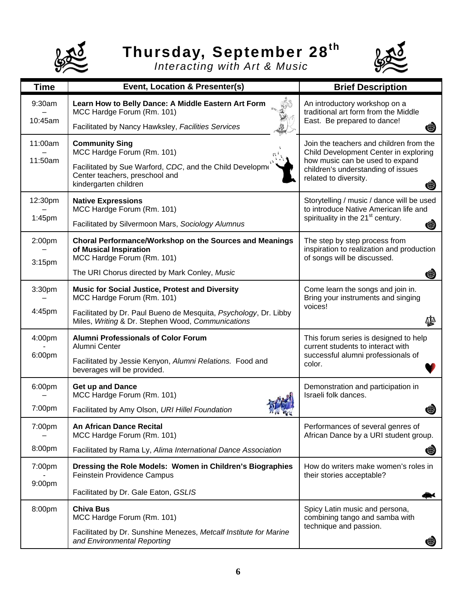

# **Thursday, September 28th**



*Interacting with Art & Music*

| <b>Time</b>       | Event, Location & Presenter(s)                                                                                        | <b>Brief Description</b>                                                                                  |
|-------------------|-----------------------------------------------------------------------------------------------------------------------|-----------------------------------------------------------------------------------------------------------|
| 9:30am<br>10:45am | Learn How to Belly Dance: A Middle Eastern Art Form<br>MCC Hardge Forum (Rm. 101)                                     | An introductory workshop on a<br>traditional art form from the Middle<br>East. Be prepared to dance!      |
|                   | Facilitated by Nancy Hawksley, Facilities Services                                                                    |                                                                                                           |
| 11:00am           | <b>Community Sing</b><br>MCC Hardge Forum (Rm. 101)                                                                   | Join the teachers and children from the<br>Child Development Center in exploring                          |
| 11:50am           | Facilitated by Sue Warford, CDC, and the Child Developme<br>Center teachers, preschool and<br>kindergarten children   | how music can be used to expand<br>children's understanding of issues<br>related to diversity.<br>⊕       |
| 12:30pm           | <b>Native Expressions</b><br>MCC Hardge Forum (Rm. 101)                                                               | Storytelling / music / dance will be used<br>to introduce Native American life and                        |
| 1:45pm            | Facilitated by Silvermoon Mars, Sociology Alumnus                                                                     | spirituality in the 21 <sup>st</sup> century.<br>₩                                                        |
| 2:00pm<br>3:15pm  | Choral Performance/Workshop on the Sources and Meanings<br>of Musical Inspiration<br>MCC Hardge Forum (Rm. 101)       | The step by step process from<br>inspiration to realization and production<br>of songs will be discussed. |
|                   | The URI Chorus directed by Mark Conley, Music                                                                         | ♦                                                                                                         |
| 3:30pm            | <b>Music for Social Justice, Protest and Diversity</b><br>MCC Hardge Forum (Rm. 101)                                  | Come learn the songs and join in.<br>Bring your instruments and singing                                   |
| 4:45pm            | Facilitated by Dr. Paul Bueno de Mesquita, Psychology, Dr. Libby<br>Miles, Writing & Dr. Stephen Wood, Communications | voices!<br>₫₫                                                                                             |
| 4:00pm            | <b>Alumni Professionals of Color Forum</b><br>Alumni Center                                                           | This forum series is designed to help<br>current students to interact with                                |
| 6:00pm            | Facilitated by Jessie Kenyon, Alumni Relations. Food and<br>beverages will be provided.                               | successful alumni professionals of<br>color.                                                              |
| 6:00pm            | <b>Get up and Dance</b><br>MCC Hardge Forum (Rm. 101)                                                                 | Demonstration and participation in<br>Israeli folk dances.                                                |
| 7:00pm            | Facilitated by Amy Olson, URI Hillel Foundation                                                                       |                                                                                                           |
| 7:00pm            | <b>An African Dance Recital</b><br>MCC Hardge Forum (Rm. 101)                                                         | Performances of several genres of<br>African Dance by a URI student group.                                |
| 8:00pm            | Facilitated by Rama Ly, Alima International Dance Association                                                         | (∰                                                                                                        |
| 7:00pm            | Dressing the Role Models: Women in Children's Biographies<br>Feinstein Providence Campus                              | How do writers make women's roles in<br>their stories acceptable?                                         |
| 9:00pm            | Facilitated by Dr. Gale Eaton, GSLIS                                                                                  |                                                                                                           |
| 8:00pm            | <b>Chiva Bus</b><br>MCC Hardge Forum (Rm. 101)                                                                        | Spicy Latin music and persona,<br>combining tango and samba with                                          |
|                   | Facilitated by Dr. Sunshine Menezes, Metcalf Institute for Marine<br>and Environmental Reporting                      | technique and passion.                                                                                    |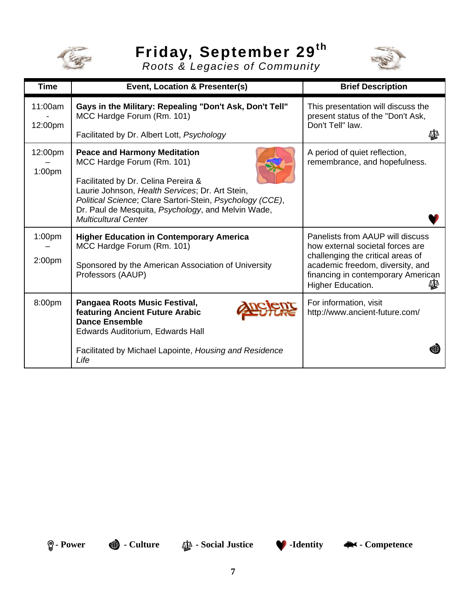

# **Friday, September 29th**



*Roots & Legacies of Community*

| <b>Time</b>                   | Event, Location & Presenter(s)                                                                                                                                                                                                                                                                                | <b>Brief Description</b>                                                                                                                                                                                 |
|-------------------------------|---------------------------------------------------------------------------------------------------------------------------------------------------------------------------------------------------------------------------------------------------------------------------------------------------------------|----------------------------------------------------------------------------------------------------------------------------------------------------------------------------------------------------------|
| 11:00am<br>12:00pm            | Gays in the Military: Repealing "Don't Ask, Don't Tell"<br>MCC Hardge Forum (Rm. 101)<br>Facilitated by Dr. Albert Lott, Psychology                                                                                                                                                                           | This presentation will discuss the<br>present status of the "Don't Ask,<br>Don't Tell" law.<br>₫₫                                                                                                        |
| 12:00pm<br>1:00 <sub>pm</sub> | <b>Peace and Harmony Meditation</b><br>MCC Hardge Forum (Rm. 101)<br>Facilitated by Dr. Celina Pereira &<br>Laurie Johnson, Health Services; Dr. Art Stein,<br>Political Science; Clare Sartori-Stein, Psychology (CCE),<br>Dr. Paul de Mesquita, Psychology, and Melvin Wade,<br><b>Multicultural Center</b> | A period of quiet reflection,<br>remembrance, and hopefulness.                                                                                                                                           |
| 1:00 <sub>pm</sub><br>2:00pm  | <b>Higher Education in Contemporary America</b><br>MCC Hardge Forum (Rm. 101)<br>Sponsored by the American Association of University<br>Professors (AAUP)                                                                                                                                                     | Panelists from AAUP will discuss<br>how external societal forces are<br>challenging the critical areas of<br>academic freedom, diversity, and<br>financing in contemporary American<br>Higher Education. |
| 8:00pm                        | Pangaea Roots Music Festival,<br>featuring Ancient Future Arabic<br><b>Dance Ensemble</b><br>Edwards Auditorium, Edwards Hall<br>Facilitated by Michael Lapointe, Housing and Residence<br>Life                                                                                                               | For information, visit<br>http://www.ancient-future.com/                                                                                                                                                 |

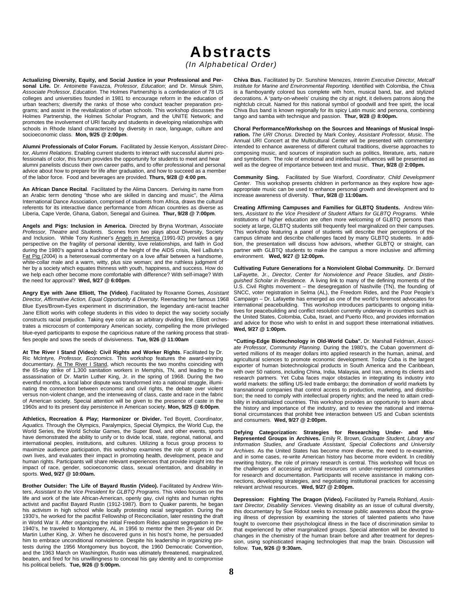*(In Alphabetical Order)* 

**Actualizing Diversity, Equity, and Social Justice in your Professional and Personal Life.** Dr. Antoinette Favazza, *Professor, Education*; and Dr. Minsuk Shim, *Associate Professor, Education.* The Holmes Partnership is a confederation of 78 US colleges and universities founded in 1981 to encourage reform in the education of urban teachers; diversify the ranks of those who conduct teacher preparation programs; and assist in the revitalization of urban schools. This workshop discusses the Holmes Partnership, the Holmes Scholar Program, and the UNITE Network; and promotes the involvement of URI faculty and students in developing relationships with schools in Rhode Island characterized by diversity in race, language, culture and socioeconomic class. **Mon, 9/25 @ 2:00pm**.

**Alumni Professionals of Color Forum.** Facilitated by Jessie Kenyon, *Assistant Director, Alumni Relations*. Enabling current students to interact with successful alumni professionals of color, this forum provides the opportunity for students to meet and hear alumni panelists discuss their own career paths, and to offer professional and personal advice about how to prepare for life after graduation, and how to succeed as a member of the labor force. Food and beverages are provided. **Thurs, 9/28 @ 4:00 pm.**

**An African Dance Recital**. Facilitated by the Alima Dancers. Deriving its name from an Arabic term denoting "those who are skilled in dancing and music", the Alima International Dance Association, comprised of students from Africa, draws the cultural referents for its interactive dance performance from African countries as diverse as Liberia, Cape Verde, Ghana, Gabon, Senegal and Guinea. **Thur, 9/28 @ 7:00pm**.

**Angels and Pigs: Inclusion in America.** Directed by Bryna Wortman, *Associate Professor, Theatre* and *Students.* Scenes from two plays about Diversity, Society and Inclusion. While Tony Kushner's Angels in America (1991-92) provides a gay perspective on the fragility of personal identity, love relationships, and faith in God during the 1980's against a backdrop of the height of the AIDS crisis, Neil LaBute's Fat Pig (2004) is a heterosexual commentary on a love affair between a handsome, white-collar male and a warm, witty, plus size woman; and the ruthless judgment of her by a society which equates thinness with youth, happiness, and success. How do we help each other become more comfortable with difference? With self-image? With the need for approval? **Wed, 9/27 @ 6:00pm**.

**Angry Eye with Jane Elliott, The (Video)**. Facilitated by Roxanne Gomes*, Assistant Director, Affirmative Action, Equal Opportunity & Diversity.* Reenacting her famous 1968 Blue Eyes/Brown-Eyes experiment in discrimination, the legendary anti-racist teacher Jane Elliott works with college students in this video to depict the way society socially constructs racial prejudice. Taking eye color as an arbitrary dividing line, Elliott orchestrates a microcosm of contemporary American society, compelling the more privileged blue-eyed participants to expose the capricious nature of the ranking process that stratifies people and sows the seeds of divisiveness. **Tue, 9/26 @ 11:00am**

**At The River I Stand (Video): Civil Rights and Worker Rights**. Facilitated by Dr. Ric McIntyre*, Professor, Economics*. This workshop features the award-winning documentary, At The River I Stand, which recounts the two months coinciding with the 65-day strike of 1,300 sanitation workers in Memphis, TN, and leading to the assassination of Dr. Martin Luther King, Jr. in the spring of 1968. During the two eventful months, a local labor dispute was transformed into a national struggle, illuminating the connection between economic and civil rights, the debate over violent versus non-violent change, and the interweaving of class, caste and race in the fabric of American society. Special attention will be given to the presence of caste in the 1960s and to its present day persistence in American society. **Mon, 9/25 @ 6:00pm**.

**Athletics, Recreation & Play; Harmonizer or Divider.** Ted Boyett, *Coordinator, Aquatics.* Through the Olympics, Paralympics, Special Olympics, the World Cup, the World Series, the World Scholar Games, the Super Bowl, and other events, sports have demonstrated the ability to unify or to divide local, state, regional, national, and international peoples, institutions, and cultures. Utilizing a focus group process to maximize audience participation, this workshop examines the role of sports in our own lives, and evaluates their impact in promoting health, development, peace and human rights. Participants will share relevant experiences that provide insight into the impact of race, gender, socioeconomic class, sexual orientation, and disability in sports. **Wed, 9/27 @ 10:00am.**

**Brother Outsider: The Life of Bayard Rustin (Video).** Facilitated by Andrew Winters, *Assistant to the Vice President for GLBTQ Programs*. This video focuses on the life and work of the late African-American, openly gay, civil rights and human rights activist and pacifist Bayard Rustin (1912-1987). Born to Quaker parents, he began his activism in high school while locally protesting racial segregation. During the 1930's, he worked for the pacifist Fellowship of Reconciliation, later resisting the draft in World War II. After organizing the initial Freedom Rides against segregation in the 1940's, he traveled to Montgomery, AL in 1956 to mentor the then 26-year old Dr. Martin Luther King, Jr. When he discovered guns in his host's home, he persuaded him to embrace unconditional nonviolence. Despite his leadership in organizing protests during the 1956 Montgomery bus boycott, the 1960 Democratic Convention, and the 1963 March on Washington, Rustin was ultimately threatened, marginalized, beaten, and fired for his unwillingness to conceal his gay identity and to compromise his political beliefs. **Tue, 9/26 @ 5:00pm.**

**Chiva Bus.** Facilitated by Dr. Sunshine Menezes, *Interim Executive Director, Metcalf Institute for Marine and Environmental Reporting.* Identified with Colombia, the Chiva is a flamboyantly colored bus complete with horn, musical band, bar, and stylized decorations. A 'party-on-wheels' cruising the city at night, it delivers patrons along the nightclub circuit. Named for this national symbol of goodwill and free spirit, the local Chiva Bus band is known regionally for its spicy Latin music and persona, combining tango and samba with technique and passion. **Thur, 9/28 @ 8:00pm.**

**Choral Performance/Workshop on the Sources and Meanings of Musical Inspiration.** *The URI Chorus.* Directed by Mark Conley, *Assistant Professor, Music.* The Annual URI Concert at the Multicultural Center will be presented with commentary intended to enhance awareness of different cultural traditions, diverse approaches to composing music, and sources of inspiration such as politics, literature, arts, nature and symbolism. The role of emotional and intellectual influences will be presented as well as the degree of importance between text and music. **Thur, 9/28 @ 2:00pm.**

**Community Sing.** Facilitated by Sue Warford, *Coordinator, Child Development Center*. This workshop presents children in performance as they explore how ageappropriate music can be used to enhance personal growth and development and to increase awareness of diversity. **Thur, 9/28 @ 11:00am.**

**Creating Affirming Campuses and Families for GLBTQ Students.** Andrew Winters, *Assistant to the Vice President of Student Affairs for GLBTQ Programs.* While institutions of higher education are often more welcoming of GLBTQ persons than society at large, GLBTQ students still frequently feel marginalized on their campuses. This workshop featuring a panel of students will describe their perceptions of the campus climate and describe challenges faced by many GLBTQ students. In addition, the presentation will discuss how advisors, whether GLBTQ or straight, can partner with GLBTQ students to make the campus a more inclusive and affirming environment. **Wed, 9/27 @ 12:00pm.**

**Cultivating Future Generations for a Nonviolent Global Community.** Dr. Bernard LaFayette, Jr., *Director, Center for Nonviolence and Peace Studies, and Distinguished Scholar in Residence.* A living link to many of the defining moments of the U.S. Civil Rights movement – the desegregation of Nashville (TN), the founding of SNCC, voter registration in Selma (AL), the Freedom Rides, and the Poor People's Campaign – Dr. Lafayette has emerged as one of the world's foremost advocates for international peacebuilding. This workshop introduces participants to ongoing initiatives for peacebuilding and conflict resolution currently underway in countries such as the United States, Colombia, Cuba, Israel, and Puerto Rico, and provides information and advice for those who wish to enlist in and support these international initiatives. **Wed, 9/27 @ 1:00pm.**

**"Cutting-Edge Biotechnology in Old-World Cuba".** Dr. Marshall Feldman, *Associate Professor, Community Planning*. During the 1980's, the Cuban government diverted millions of its meager dollars into applied research in the human, animal, and agricultural sciences to promote economic development. Today Cuba is the largest exporter of human biotechnological products in South America and the Caribbean, with over 50 nations, including China, India, Malaysia, and Iran, among its clients and research partners. Yet Cuba faces major obstacles in integrating its industry into world markets: the stifling US-led trade embargo; the domination of world markets by transnational companies that control access to production, marketing, and distribution; the need to comply with intellectual property rights; and the need to attain credibility in industrialized countries. This workshop provides an opportunity to learn about the history and importance of the industry, and to review the national and international circumstances that prohibit free interaction between US and Cuban scientists and consumers. **Wed, 9/27 @ 2:00pm.**

**Defying Categorization: Strategies for Researching Under- and Mis-Represented Groups in Archives.** Emily R. Brown, *Graduate Student, Library and Information Studies, and Graduate Assistant, Special Collections and University Archives.* As the United States has become more diverse, the need to re-examine, and in some cases, re-write American history has become more evident. In credibly rewriting history, the role of primary research is central. This workshop will focus on the challenges of accessing archival resources on under-represented communities for research and documentation. Participants will receive assistance in making connections, developing strategies, and negotiating institutional practices for accessing relevant archival resources. **Wed, 9/27 @ 2:00pm.**

**Depression: Fighting The Dragon (Video).** Facilitated by Pamela Rohland, *Assistant Director, Disability Services*. Viewing disability as an issue of cultural diversity, this documentary by Sue Ridout seeks to increase public awareness about the growing illness of depression by examining the stories of talented patients who have fought to overcome their psychological illness in the face of discrimination similar to that experienced by other marginalized groups. Special attention will be devoted to changes in the chemistry of the human brain before and after treatment for depression, using sophisticated imaging technologies that map the brain. Discussion will follow. **Tue, 9/26 @ 9:30am.**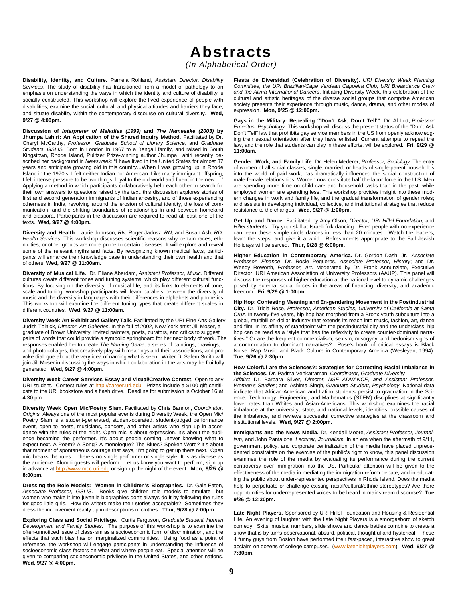*(In Alphabetical Order)* 

**Disability, Identity, and Culture.** Pamela Rohland, *Assistant Director, Disability Services*. The study of disability has transitioned from a model of pathology to an emphasis on understanding the ways in which the identity and culture of disability is socially constructed. This workshop will explore the lived experience of people with disabilities; examine the social, cultural, and physical attitudes and barriers they face; and situate disability within the contemporary discourse on cultural diversity. **Wed, 9/27 @ 4:00pm.**

**Discussion of** *Interpreter of Maladies (1999)* **and** *The Namesake (2003)* **by**  Jhumpa Lahiri: An Application of the Shared Inquiry Method. Facilitated by Dr. Cheryl McCarthy, *Professor, Graduate School of Library Science,* and *Graduate Students, GSLIS.* Born in London in 1967 to a Bengali family, and raised in South Kingstown, Rhode Island, Pulitzer Prize-winning author Jhumpa Lahiri recently described her background in *Newsweek:* "I have lived in the United States for almost 37 years and anticipate growing old in this country…When I was growing up in Rhode Island in the 1970's, I felt neither Indian nor American. Like many immigrant offspring, I felt intense pressure to be two things, loyal to the old world and fluent in the new... Applying a method in which participants collaboratively help each other to search for their own answers to questions raised by the text, this discussion explores stories of first and second generation immigrants of Indian ancestry, and of those experiencing otherness in India, revolving around the erosion of cultural identity, the loss of communication, and the shifting boundaries of relationships in and between homeland and diaspora. Participants in the discussion are required to read at least one of the texts. **Wed, 9/27 @ 4:00pm.**

**Diversity and Health.** Laurie Johnson, *RN,* Roger Jadosz, *RN,* and Susan Ash, *RD, Health Services*. This workshop discusses scientific reasons why certain races, ethnicities, or other groups are more prone to certain diseases. It will explore and reveal some of the relevant myths and facts. By recognizing known medical facts, participants will enhance their knowledge base in understanding their own health and that of others. **Wed, 9/27 @ 11:00am.**

**Diversity of Musical Life.** Dr. Eliane Aberdam, *Assistant Professor, Music.* Different cultures create different tones and tuning systems, which play different cultural functions. By focusing on the diversity of musical life, and its links to elements of tone, scale and tuning, workshop participants will learn parallels between the diversity of music and the diversity in languages with their differences in alphabets and phonetics. This workshop will examine the different tuning types that create different scales in different countries. **Wed, 9/27 @ 11:00am.**

**Diversity Week Art Exhibit and Gallery Talk**. Facilitated by the URI Fine Arts Gallery, Judith Tolnick, *Director, Art Galleries*. In the fall of 2002, New York artist Jill Moser, a graduate of Brown University, invited painters, poets, curators, and critics to suggest pairs of words that could provide a symbolic springboard for her next body of work. The responses enabled her to create *The Naming Game,* a series of paintings, drawings, and photo collages, that creatively play with meanings and their associations, and provoke dialogue about the very idea of naming what is seen. Writer D. Salem Smith will join Jill Moser in discussing the ways in which collaboration in the arts may be fruitfully generated. **Wed, 9/27 @ 4:00pm.**

**Diversity Week Career Services Essay and Visual/Creative Contest**. Open to any URI student. Contest rules at http://career.uri.edu. Prizes include a \$100 gift certificate to the URI bookstore and a flash drive. Deadline for submission is October 16 at 4:30 pm.

**Diversity Week Open Mic/Poetry Slam.** Facilitated by Chris Bannon, *Coordinator, Origins*. Always one of the most popular events during Diversity Week, the Open Mic/ Poetry Slam is a student-generated, student-operated, student-judged performance event, open to poets, musicians, dancers, and other artists who sign up in accordance with the rules of the night. Open mic is about expression. It's about the audience becoming the performer. It's about people coming…never knowing what to expect next. A Poem? A Song? A monologue? The Blues? Spoken Word? It's about that moment of spontaneous courage that says, 'I'm going to get up there next.' Open mic breaks the rules… there's no single performer or single style. It is as diverse as the audience. Alumni guests will perform. Let us know you want to perform, sign up in advance at http://www.mcc.uri.edu or sign up the night of the event. **Mon, 9/25 @ 8:00pm.**

**Dressing the Role Models: Women in Children's Biographies.** Dr. Gale Eaton, *Associate Professor, GSLIS*. Books give children role models to emulate—but women who make it into juvenile biographies don't always do it by following the rules for good little girls. How do writers make their stories acceptable? Sometimes they dress the inconvenient reality up in descriptions of clothes. **Thur, 9/28 @ 7:00pm.**

**Exploring Class and Social Privilege.** Curtis Ferguson*, Graduate Student, Human Development and Family Studies.* The purpose of this workshop is to examine the often-unnoticed issue of class-ism as a socioeconomic form of discrimination, and the effects that such bias has on marginalized communities. Using food as a point of reference, the workshop will engage participants in understanding the influence of socioeconomic class factors on what and where people eat. Special attention will be given to comparing socioeconomic privilege in the United States, and other nations. **Wed, 9/27 @ 4:00pm.** 

**Fiesta de Diversidad (Celebration of Diversity).** *URI Diversity Week Planning Committee, the URI Brazilian/Cape Verdean Capoeira Club, URI Breakdance Crew and the Alima International Dancers*. Initiating Diversity Week, this celebration of the cultural and artistic heritages of the diverse social groups that comprise American society presents their experience through music, dance, drama, and other modes of expression. **Mon, 9/25 @ 12:00pm.**

**Gays in the Military: Repealing '"Don't Ask, Don't Tell'".** Dr. Al Lott, *Professor Emeritus, Psychology.* This workshop will discuss the present status of the "Don't Ask, Don't Tell" law that prohibits gay service members in the US from openly acknowledging their sexual orientation after they have enlisted. Current attempts to repeal the law, and the role that students can play in these efforts, will be explored. **Fri, 9/29 @ 11:00am.**

**Gender, Work, and Family Life.** Dr. Helen Mederer, *Professor, Sociology*. The entry of women of all social classes, single, married, or heads of single-parent households into the world of paid work, has dramatically influenced the social construction of male-female relationships. Women now constitute half the labor force in the U.S. Men are spending more time on child care and household tasks than in the past, while employed women are spending less. This workshop provides insight into these modern changes in work and family life, and the gradual transformation of gender roles; and assists in developing individual, collective, and institutional strategies that reduce resistance to the changes. **Wed, 9/27 @ 1:00pm.**

**Get Up and Dance.** Facilitated by Amy Olson, *Director, URI Hillel Foundation,* and *Hillel students*. Try your skill at Israeli folk dancing. Even people with no experience can learn these simple circle dances in less than 20 minutes. Watch the leaders, learn the steps, and give it a whirl. Refreshments appropriate to the Fall Jewish Holidays will be served. **Thur, 9/28 @ 6:00pm.**

**Higher Education in Contemporary America.** Dr. Gordon Dash, Jr., *Associate Professor, Finance*; Dr. Rosie Pegueros, *Associate Professor, History*; and Dr. Wendy Roworth, *Professor, Art*. Moderated by Dr. Frank Annunziato, Executive Director, URI American Association of University Professors (AAUP). This panel will discuss the responses of higher education at the national level to dynamic challenges posed by external social forces in the areas of financing, diversity, and academic freedom. **Fri, 9/29 @ 1:00pm.**

**Hip Hop: Contesting Meaning and En-gendering Movement in the Postindustrial City.** Dr. Tricia Rose, *Professor, American Studies, University of California at Santa Cruz.* In twenty-five years, hip hop has morphed from a Bronx youth subculture into a global, multibillion-dollar industry that extends its reach into music, fashion, art, dance, and film. In its affinity of standpoint with the postindustrial city and the underclass, hip hop can be read as a "style that has the reflexivity to create counter-dominant narratives." Or are the frequent commercialism, sexism, misogyny, and hedonism signs of accommodation to dominant narratives? Rose's book of critical essays is Black Noise: Rap Music and Black Culture in Contemporary America (Wesleyan, 1994). **Tue, 9/26 @ 7:30pm.**

#### **How Colorful are the Sciences?: Strategies for Correcting Racial Imbalance in the Sciences.** Dr. Padma Venkatraman, *Coordinator, Graduate Diversity*

*Affairs;* Dr. Barbara Silver, *Director, NSF ADVANCE, and Assistant Professor, Women's Studies*; and Ashima Singh, *Graduate Student, Psychology.* National data indicate that African-American and Latino students persist to graduation in the Science, Technology, Engineering, and Mathematics (STEM) disciplines at significantly lower rates than Whites and Asian-Americans. This workshop examines the racial imbalance at the university, state, and national levels, identifies possible causes of the imbalance, and reviews successful corrective strategies at the classroom and institutional levels. **Wed, 9/27 @ 2:00pm.**

**Immigrants and the News Media.** Dr, Kendall Moore, *Assistant Professor, Journalism;* and John Pantalone, *Lecturer, Journalism*, In an era when the aftermath of 9/11 government policy, and corporate centralization of the media have placed unprecedented constraints on the exercise of the public's right to know, this panel discussion examines the role of the media by evaluating its performance during the current controversy over immigration into the US. Particular attention will be given to the effectiveness of the media in mediating the immigration reform debate, and in educating the public about under-represented perspectives in Rhode Island. Does the media help to perpetuate or challenge existing racial/cultural/ethnic stereotypes? Are there opportunities for underrepresented voices to be heard in mainstream discourse? **Tue, 9/26 @ 12:30pm.**

**Late Night Players.** Sponsored by URI Hillel Foundation and Housing & Residential Life*.* An evening of laughter with the Late Night Players is a smorgasbord of sketch comedy. Skits, musical numbers, slide shows and dance battles combine to create a show that is by turns observational, absurd, political, thoughtful and hysterical. These 4 funny guys from Boston have performed their fast-paced, interactive show to great acclaim on dozens of college campuses. (www.latenightplayers.com). **Wed, 9/27 @ 7:30pm.**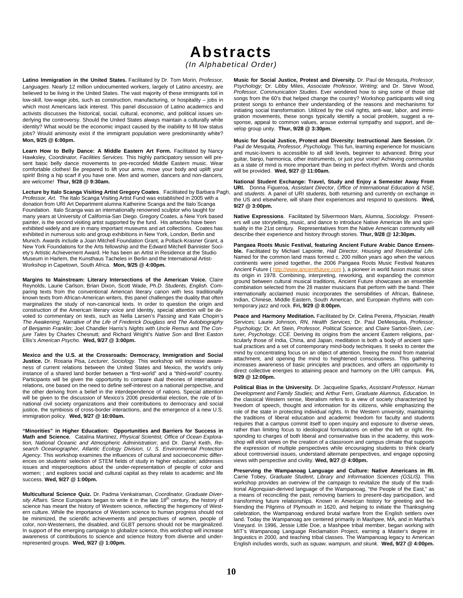*(In Alphabetical Order)* 

**Latino Immigration in the United States.** Facilitated by Dr. Tom Morin, *Professor, Languages*. Nearly 12 million undocumented workers, largely of Latino ancestry, are believed to be living in the United States. The vast majority of these immigrants toil in low-skill, low-wage jobs, such as construction, manufacturing, or hospitality – jobs in which most Americans lack interest. This panel discussion of Latino academics and activists discusses the historical, social, cultural, economic, and political issues underlying the controversy. Should the United States always maintain a culturally white identity? What would be the economic impact caused by the inability to fill low status jobs? Would animosity exist if the immigrant population were predominantly white? **Mon, 9/25 @ 6:00pm.**

Learn How to Belly Dance: A Middle Eastern Art Form. Facilitated by Nancy Hawksley, *Coordinator, Facilities Services.* This highly participatory session will present basic belly dance movements to pre-recorded Middle Eastern music. Wear comfortable clothes! Be prepared to lift your arms, move your body and uplift your spirit! Bring a hip scarf if you have one. Men and women, dancers and non-dancers, are welcome! **Thur, 9/28 @ 9:30am.**

**Lecture by Italo Scanga Visiting Artist Gregory Coates**. Facilitated by Barbara Pagh, *Professor, Art*. The Italo Scanga Visiting Artist Fund was established in 2005 with a donation from URI Art Department alumna Katherine Scanga and the Italo Scanga Foundation. Italo Scanga was an internationally renowned sculptor who taught for many years at University of California-San Diego. Gregory Coates, a New York based painter, is the second visiting artist supported by the fund. His artworks have been exhibited widely and are in many important museums and art collections. Coates has exhibited in numerous solo and group exhibitions in New York, London, Berlin and Munich. Awards include a Joan Mitchell Foundation Grant, a Pollack-Krasner Grant, a New York Foundations for the Arts fellowship and the Edward Mitchell Bannister Society's Artistic Achievement Award. He has been an Artist in Residence at the Studio Museum in Harlem, the Kunsthaus Tacheles in Berlin and the International Artist-Workshop in Capetown, South Africa. **Mon, 9/25 @ 4:00pm.**

**Margins to Mainstream: Literary Intersections of the American Voice.** Claire Reynolds, Laurie Carlson, Brian Dixon, Scott Wade, *Ph.D. Students, English.* Comparing texts from the conventional American literary canon with less traditionally known texts from African-American writers, this panel challenges the duality that often marginalizes the study of non-canonical texts. In order to question the origin and construction of the American literary voice and identity, special attention will be devoted to commentary on texts, such as Nella Larsen's *Passing* and Kate Chopin's *The Awakening*; *Narrative of the Life of Frederick Douglass* and *The Autobiography of Benjamin Franklin*; Joel Chandler Harris's *Nights with Uncle Remus* and *The Conjure Tales* by Charles Chesnutt; and Richard Wright's *Native Son* and Bret Easton Ellis's *American Psycho.* **Wed, 9/27 @ 3:00pm.**

**Mexico and the U.S. at the Crossroads: Democracy, Immigration and Social Justice.** Dr. Rosaria Pisa, *Lecturer, Sociology.* This workshop will increase awareness of current relations between the United States and Mexico, the world's only instance of a shared land border between a "first-world" and a "third-world" country. Participants will be given the opportunity to compare dual theories of international relations, one based on the need to define self-interest on a national perspective, and the other deriving from a belief in the interdependence of nations. Special attention will be given to the discussion of Mexico's 2006 presidential election, the role of binational civil society organizations and their contributions to democracy and social justice, the symbiosis of cross-border interactions, and the emergence of a new U.S. immigration policy. **Wed, 9/27 @ 10:00am.**

**"Minorities" in Higher Education: Opportunities and Barriers for Success in Math and Science.** Catalina Martinez, *Physical Scientist, Office of Ocean Exploration, National Oceanic and Atmospheric Administration*; and Dr. Darryl Keith, *Research Oceanographer, Atlantic Ecology Division, U. S. Environmental Protection Agency*. This workshop examines the influences of cultural and socioeconomic differences on students' selection of STEM fields of study in higher education; addresses issues and misperceptions about the under-representation of people of color and women; ; and explores social and cultural capital as they relate to academic and life success. **Wed, 9/27 @ 1:00pm.**

**Multicultural Science Quiz.** Dr. Padma Venkatraman, *Coordinator, Graduate Diver*sity Affairs. Since Europeans began to write it in the late 18<sup>th</sup> century, the history of science has meant the history of Western science, reflecting the hegemony of Western culture. While the importance of Western science to human progress should not be minimized, the scientific achievements and perspectives of women, people of color, non-Westerners, the disabled, and GLBT persons should not be marginalized. In support of the emerging campaign to globalize science, this workshop will increase awareness of contributions to science and science history from diverse and underrepresented groups. **Wed, 9/27 @ 1:00pm.**

**Music for Social Justice, Protest and Diversity.** Dr. Paul de Mesquita, *Professor, Psychology;* Dr. Libby Miles, *Associate Professor, Writing;* and Dr. Steve Wood, *Professor, Communication Studies*. Ever wondered how to sing some of those old songs from the 60's that helped change the country? Workshop participants will sing protest songs to enhance their understanding of the reasons and mechanisms for initiating social transformation. Utilized by the civil rights, anti-war, labor, and immigration movements, these songs typically identify a social problem, suggest a response, appeal to common values, arouse external sympathy and support, and develop group unity. **Thur, 9/28 @ 3:30pm.** 

**Music for Social Justice, Protest and Diversity: Instructional Jam Session.** Dr. Paul de Mesquita, *Professor, Psychology.* This fun, learning experience for musicians and music-lovers is accessible to all skill levels, beginner to advanced. Bring your guitar, banjo, harmonica, other instruments, or just your voice! Achieving *communitas*  as a state of mind is more important than being in perfect rhythm. Words and chords will be provided. **Wed, 9/27 @ 11:00am.**

**National Student Exchange: Travel, Study and Enjoy a Semester Away From URI.** Donna Figueroa, *Assistant Director*, *Office of International Education & NSE,*  and *students*. A panel of URI students, both returning and currently on exchange in the US and elsewhere, will share their experiences and respond to questions. **Wed, 9/27 @ 3:00pm.**

**Native Expressions**. Facilitated by Silvermoon Mars, Alumna, *Sociology*. Presenters will use storytelling, music, and dance to introduce Native American life and spirituality in the 21st century. Representatives from the Native American community will describe their experience and history through stories. **Thur, 9/28 @ 12:30pm.**

**Pangaea Roots Music Festival, featuring Ancient Future Arabic Dance Ensemble.** Facilitated by Michael Lapointe, *Hall Director, Housing and Residential Life.*  Named for the common land mass formed c. 200 million years ago when the various continents were joined together, the 2006 Pangaea Roots Music Festival features Ancient Future ( http://www.ancientfuture.com ), a pioneer in world fusion music since its origin in 1978. Combining, interpreting, reworking, and expanding the common ground between cultural musical traditions, Ancient Future showcases an ensemble combination selected from the 28 master musicians that perform with the band. Their internationally acclaimed music incorporates the sensibilities of African, Balinese, Indian, Chinese, Middle Eastern, South American, and European rhythms with contemporary jazz and rock. **Fri, 9/29 @ 8:00pm.**

**Peace and Harmony Meditation.** Facilitated by Dr. Celina Pereira, *Physician, Health Services;* Laurie Johnson, *RN, Health Services;* Dr. Paul DeMesquita, *Professor, Psychology;* Dr. Art Stein, *Professor, Political Science;* and Claire Sartori-Stein, *Lecturer, Psychology, CCE.* Deriving its origins from the ancient Eastern religions, particularly those of India, China, and Japan, meditation is both a body of ancient spiritual practices and a set of contemporary mind-body techniques. It seeks to center the mind by concentrating focus on an object of attention, freeing the mind from material attachment, and opening the mind to heightened consciousness. This gathering increases awareness of basic principles and practices, and offers an opportunity to direct collective energies to attaining peace and harmony on the URI campus. **Fri, 9/29 @ 12:00pm.**

**Political Bias in the University.** Dr. Jacqueline Sparks, *Assistant Professor, Human Development and Family Studies;* and Arthur Ferri, *Graduate Alumnus, Education.* In the classical Western sense, liberalism refers to a view of society characterized by freedom of speech, thought and information for its citizens, while emphasizing the role of the state in protecting individual rights. In the Western university, maintaining the traditions of liberal education and academic freedom for faculty and students requires that a campus commit itself to open inquiry and exposure to diverse views, rather than limiting focus to ideological formulations on either the left or right. Responding to charges of both liberal and conservative bias in the academy, this workshop will elicit views on the creation of a classroom and campus climate that supports the expression of multiple perspectives while encouraging students to think clearly about controversial issues, understand alternate perspectives, and engage opposing views with perspective and civility. **Wed, 9/27 @ 4:00pm.**

**Preserving the Wampanoag Language and Culture: Native Americans in RI.** Carrie Tobey, *Graduate Student*, *Library and Information Sciences (GSLIS).* This workshop provides an overview of the campaign to revitalize the study of the traditional Algonquian-derived language of the Wampanoag, "the People of the East," as a means of reconciling the past, removing barriers to present-day participation, and transforming future relationships. Known in American history for greeting and befriending the Pilgrims of Plymouth in 1620, and helping to initiate the Thanksgiving celebration, the Wampanoag endured brutal warfare from the English settlers over land. Today the Wampanoag are centered primarily in Mashpee, MA, and in Martha's Vineyard. In 1996, Jessie Little Doe, a Mashpee tribal member, began working with MIT's Wampanoag Language Reclamation Project, earning a Master's degree in linguistics in 2000, and teaching tribal classes. The Wampanoag legacy to American English includes words, such as *squaw, wampum, and skunk.* **Wed, 9/27 @ 4:00pm.**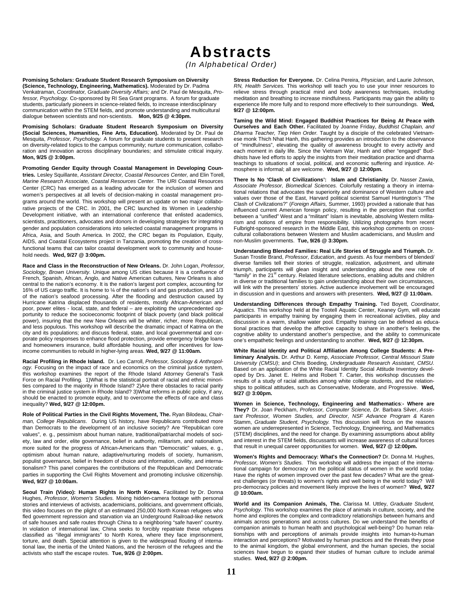*(In Alphabetical Order)* 

**Promising Scholars: Graduate Student Research Symposium on Diversity (Science, Technology, Engineering, Mathematics).** Moderated by Dr. Padma Venkatraman, *Coordinator, Graduate Diversity Affairs;* and Dr. Paul de Mesquita, *Professor, Psychology.* Co-sponsored by RI Sea Grant programs. A forum for graduate students, particularly pioneers in science-related fields, to increase interdisciplinary communication within the STEM fields, and promote understanding and multicultural dialogue between scientists and non-scientists. **Mon, 9/25 @ 4:30pm.** 

**Promising Scholars: Graduate Student Research Symposium on Diversity (Social Sciences, Humanities, Fine Arts, Education).** Moderated by Dr. Paul de Mesquita, *Professor, Psychology.* A forum for graduate students to present research on diversity-related topics to the campus community; nurture communication, collaboration and innovation across disciplinary boundaries; and stimulate critical inquiry. **Mon, 9/25 @ 3:00pm.**

**Promoting Gender Equity through Coastal Management in Developing Countries.** Lesley Squillante, *Assistant Director, Coastal Resources Center,* and Elin Torell, *Marine Research Associate, Coastal Resources Center.* The URI Coastal Resources Center (CRC) has emerged as a leading advocate for the inclusion of women and women's perspectives at all levels of decision-making in coastal management programs around the world. This workshop will present an update on two major collaborative projects of the CRC. In 2001, the CRC launched its Women in Leadership Development initiative, with an international conference that enlisted academics, scientists, practitioners, advocates and donors in developing strategies for integrating gender and population considerations into selected coastal management programs in Africa, Asia, and South America. In 2002, the CRC began its Population, Equity, AIDS, and Coastal Ecosystems project in Tanzania, promoting the creation of crossfunctional teams that can tailor coastal development work to community and household needs. **Wed, 9/27 @ 3:00pm.**

**Race and Class in the Reconstruction of New Orleans.** Dr. John Logan, *Professor, Sociology, Brown University.* Unique among US cities because it is a confluence of French, Spanish, African, Anglo, and Native American cultures, New Orleans is also central to the nation's economy. It is the nation's largest port complex, accounting for 16% of US cargo traffic. It is home to ¼ of the nation's oil and gas production, and 1/3 of the nation's seafood processing. After the flooding and destruction caused by Hurricane Katrina displaced thousands of residents, mostly African-American and poor, power elites - local, state, and federal – are exploiting the unprecedented opportunity to reduce the socioeconomic footprint of black poverty (and black political power), insuring that the new New Orleans will be whiter, richer, more Republican, and less populous. This workshop will describe the dramatic impact of Katrina on the city and its populations; and discuss federal, state, and local governmental and corporate policy responses to enhance flood protection, provide emergency bridge loans and homeowners insurance, build affordable housing, and offer incentives for lowincome communities to rebuild in higher-lying areas. **Wed, 9/27 @ 11:00am.**

**Racial Profiling in Rhode Island.** Dr. Leo Carroll, *Professor, Sociology & Anthropology.* Focusing on the impact of race and economics on the criminal justice system, this workshop examines the report of the Rhode Island Attorney General's Task Force on Racial Profiling. 1)What is the statistical portrait of racial and ethnic minorities compared to the majority in Rhode Island? 2)Are there obstacles to racial parity in the criminal justice system in Rhode Island? 3)What reforms in public policy, if any, should be enacted to promote equity, and to overcome the effects of race and class inequality? **Wed, 9/27 @ 12:00pm.**

**Role of Political Parties in the Civil Rights Movement, The.** Ryan Bilodeau, *Chairman, College Republicans*. During US history, have Republicans contributed more than Democrats to the development of an inclusive society? Are "Republican core values", e. g., pessimism about human nature, traditional/patriarchal models of society, law and order, elite governance, belief in authority, militarism, and nationalism, more suited for the progress of African-Americans than "Democratic" values, e. g., optimism about human nature, adaptive/nurturing models of society, humanism, populist governance, belief in freedom of choice and information, civility, and internationalism? This panel compares the contributions of the Republican and Democratic parties in supporting the Civil Rights Movement and promoting inclusive citizenship. **Wed, 9/27 @ 10:00am.**

Seoul Train (Video): Human Rights in North Korea. Facilitated by Dr. Donna Hughes, *Professor*, *Women's Studies.* Mixing hidden-camera footage with personal stories and interviews of activists, academicians, politicians, and government officials, this video focuses on the plight of an estimated 250,000 North Korean refugees who fled government repression and starvation via an Underground Railroad-like network of safe houses and safe routes through China to a neighboring "safe haven" country. In violation of international law, China seeks to forcibly repatriate these refugees classified as "illegal immigrants" to North Korea, where they face imprisonment, torture, and death. Special attention is given to the widespread flouting of international law, the inertia of the United Nations, and the heroism of the refugees and the activists who staff the escape routes. **Tue, 9/26 @ 2:00pm.**

**Stress Reduction for Everyone.** Dr. Celina Pereira, *Physician,* and Laurie Johnson, *RN, Health Services.* This workshop will teach you to use your inner resources to relieve stress through practical mind and body awareness techniques, including meditation and breathing to increase mindfulness. Participants may gain the ability to experience life more fully and to respond more effectively to their surroundings. **Wed, 9/27 @ 12:00pm.** 

**Taming the Wild Mind: Engaged Buddhist Practices for Being At Peace with Ourselves and Each Other.** Facilitated by Joanne Friday, *Buddhist Chaplain, and Dharma Teacher, Tiep Hien Order.* Taught by a disciple of the celebrated Vietnamese monk Thich Nhat Hanh, this gathering provides an introduction to the observance of "mindfulness", elevating the quality of awareness brought to every activity and each moment in daily life. Since the Vietnam War, Hanh and other "engaged" Buddhists have led efforts to apply the insights from their meditation practice and dharma teachings to situations of social, political, and economic suffering and injustice. Atmosphere is informal; all are welcome. **Wed, 9/27 @ 12:00pm.**

**There Is No 'Clash of Civilizations': Islam and Christianity**. Dr. Nasser Zawia, *Associate Professor, Biomedical Sciences.* Colorfully restating a theory in international relations that advocates the superiority and dominance of Western culture and values over those of the East, Harvard political scientist Samuel Huntington's "The Clash of Civilizations?" (*Foreign Affairs,* Summer, 1993) provided a rationale that has influenced current American foreign policy, resulting in the perception that conflict between a "unified" West and a "militant" Islam is inevitable, absolving Western militarism and notions of empire from responsibility. Utilizing photographs from recent Fulbright-sponsored research in the Middle East, this workshop comments on crosscultural collaborations between Western and Muslim academicians, and Muslim and non-Muslim governments. **Tue, 9/26 @ 3:30pm.**

**Understanding Blended Families: Real Life Stories of Struggle and Triumph.** Dr. Susan Trostle Brand, *Professor, Education*, and *guests*. As four members of blended/ diverse families tell their stories of struggle, realization, adjustment, and ultimate triumph, participants will glean insight and understanding about the new role of "family" in the 21<sup>st</sup> century. Related literature selections, enabling adults and children in diverse or traditional families to gain understanding about their own circumstances, will link with the presenters' stories. Active audience involvement will be encouraged in discussion and in questions and answers with presenters. **Wed, 9/27 @ 11:00am.**

**Understanding Differences through Empathy Training.** Ted Boyett, *Coordinator, Aquatics.* This workshop held at the Tootell Aquatic Center, Keaney Gym, will educate participants in empathy training by engaging them in recreational activities, play and discussion in a warm, shallow water pool. Empathy training can be defined as educational practices that develop the affective capacity to share in another's feelings, the cognitive ability to understand another's perspective, and the ability to communicate one's empathetic feelings and understanding to another. **Wed, 9/27 @ 12:30pm.** 

**White Racial Identity and Political Affiliation Among College Students: A Preliminary Analysis.** Dr. Arthur D. Kemp, *Associate Professor, Central Missouri State University (CMSU)*; and Chris Boeding, *Undergraduate Research Assistant, CMSU.* Based on an application of the White Racial Identity Social Attitude Inventory developed by Drs. Janet E. Helms and Robert T. Carter, this workshop discusses the results of a study of racial attitudes among white college students, and the relationships to political attitudes, such as Conservative, Moderate, and Progressive. **Wed, 9/27 @ 3:00pm.**

**Women in Science, Technology, Engineering and Mathematics**:**- Where are They?** Dr. Joan Peckham, *Professor, Computer Science, Dr.* Barbara Silver, *Assistant Professor, Women Studies, and Director*, *NSF Advance Program &* Karen Stamm, *Graduate Student, Psychology.* This discussion will focus on the reasons women are underrepresented in Science, Technology, Engineering, and Mathematics (STEM) disciplines, and the need for change. By examining assumptions about ability and interest in the STEM fields, discussants will increase awareness of cultural forces that result in unequal career opportunities for women. **Wed, 9/27 @ 12:00pm.** 

**Women's Rights and Democracy: What's the Connection?** Dr. Donna M. Hughes, *Professor, Women's Studies.* This workshop will address the impact of the international campaign for democracy on the political status of women in the world today. Have the rights of women improved over the past few decades? What are the greatest challenges (or threats) to women's rights and well being in the world today? Will pro-democracy policies and movement likely improve the lives of women? **Wed, 9/27 @ 10:00am.**

**World and its Companion Animals, The.** Clarissa M. Uttley, *Graduate Student, Psychology*. This workshop examines the place of animals in culture, society, and the home and explores the complex and contradictory relationships between humans and animals across generations and across cultures. Do we understand the benefits of companion animals to human health and psychological well-being? Do human relationships with and perceptions of animals provide insights into human-to-human interaction and perceptions? Motivated by human practices and the threats they pose to the animal kingdom, the global environment, and the human species, the social sciences have begun to expand their studies of human culture to include animal studies. **Wed, 9/27 @ 2:00pm.**